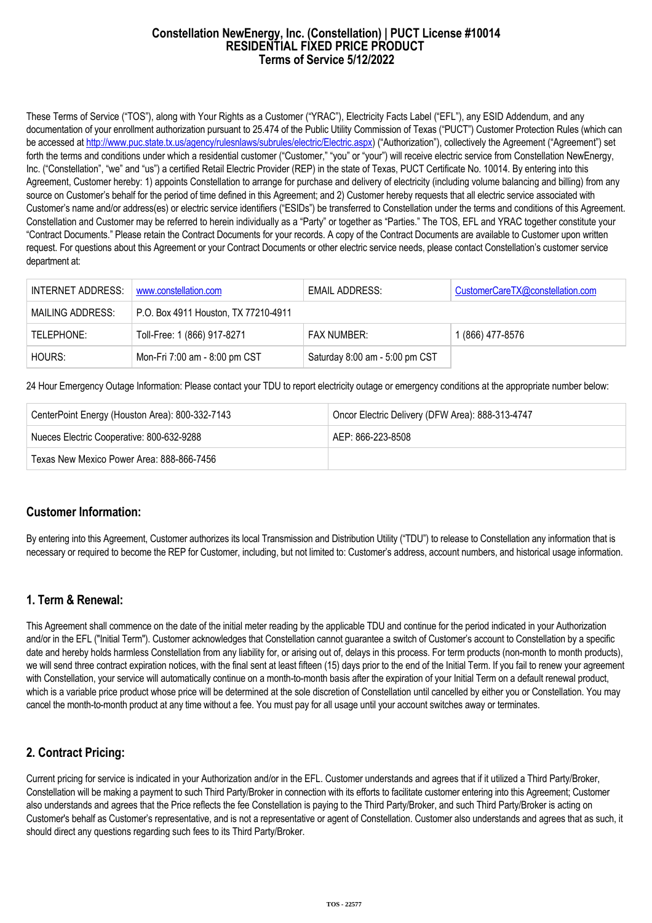#### **Constellation NewEnergy, Inc. (Constellation) | PUCT License #10014 RESIDENTIAL FIXED PRICE PRODUCT Terms of Service 5/12/2022**

These Terms of Service ("TOS"), along with Your Rights as a Customer ("YRAC"), Electricity Facts Label ("EFL"), any ESID Addendum, and any documentation of your enrollment authorization pursuant to 25.474 of the Public Utility Commission of Texas ("PUCT") Customer Protection Rules (which can be accessed at [http://www.puc.state.tx.us/agency/rulesnlaws/subrules/electric/Electric.aspx\)](http://www.puc.state.tx.us/agency/rulesnlaws/subrules/electric/Electric.aspx) ("Authorization"), collectively the Agreement ("Agreement") set forth the terms and conditions under which a residential customer ("Customer," "you" or "your") will receive electric service from Constellation NewEnergy, Inc. ("Constellation", "we" and "us") a certified Retail Electric Provider (REP) in the state of Texas, PUCT Certificate No. 10014. By entering into this Agreement, Customer hereby: 1) appoints Constellation to arrange for purchase and delivery of electricity (including volume balancing and billing) from any source on Customer's behalf for the period of time defined in this Agreement; and 2) Customer hereby requests that all electric service associated with Customer's name and/or address(es) or electric service identifiers ("ESIDs") be transferred to Constellation under the terms and conditions of this Agreement. Constellation and Customer may be referred to herein individually as a "Party" or together as "Parties." The TOS, EFL and YRAC together constitute your "Contract Documents." Please retain the Contract Documents for your records. A copy of the Contract Documents are available to Customer upon written request. For questions about this Agreement or your Contract Documents or other electric service needs, please contact Constellation's customer service department at:

| INTERNET ADDRESS: | www.constellation.com                | EMAIL ADDRESS:                 | CustomerCareTX@constellation.com |
|-------------------|--------------------------------------|--------------------------------|----------------------------------|
| MAILING ADDRESS:  | P.O. Box 4911 Houston, TX 77210-4911 |                                |                                  |
| TELEPHONE:        | Toll-Free: 1 (866) 917-8271          | <b>FAX NUMBER:</b>             | 1 (866) 477-8576                 |
| HOURS:            | Mon-Fri 7:00 am - 8:00 pm CST        | Saturday 8:00 am - 5:00 pm CST |                                  |

24 Hour Emergency Outage Information: Please contact your TDU to report electricity outage or emergency conditions at the appropriate number below:

| CenterPoint Energy (Houston Area): 800-332-7143 | Oncor Electric Delivery (DFW Area): 888-313-4747 |  |
|-------------------------------------------------|--------------------------------------------------|--|
| Nueces Electric Cooperative: 800-632-9288       | AEP: 866-223-8508                                |  |
| Texas New Mexico Power Area: 888-866-7456       |                                                  |  |

### **Customer Information:**

By entering into this Agreement, Customer authorizes its local Transmission and Distribution Utility ("TDU") to release to Constellation any information that is necessary or required to become the REP for Customer, including, but not limited to: Customer's address, account numbers, and historical usage information.

### **1. Term & Renewal:**

This Agreement shall commence on the date of the initial meter reading by the applicable TDU and continue for the period indicated in your Authorization and/or in the EFL ("Initial Term"). Customer acknowledges that Constellation cannot guarantee a switch of Customer's account to Constellation by a specific date and hereby holds harmless Constellation from any liability for, or arising out of, delays in this process. For term products (non-month to month products), we will send three contract expiration notices, with the final sent at least fifteen (15) days prior to the end of the Initial Term. If you fail to renew your agreement with Constellation, your service will automatically continue on a month-to-month basis after the expiration of your Initial Term on a default renewal product, which is a variable price product whose price will be determined at the sole discretion of Constellation until cancelled by either you or Constellation. You may cancel the month-to-month product at any time without a fee. You must pay for all usage until your account switches away or terminates.

# **2. Contract Pricing:**

Current pricing for service is indicated in your Authorization and/or in the EFL. Customer understands and agrees that if it utilized a Third Party/Broker, Constellation will be making a payment to such Third Party/Broker in connection with its efforts to facilitate customer entering into this Agreement; Customer also understands and agrees that the Price reflects the fee Constellation is paying to the Third Party/Broker, and such Third Party/Broker is acting on Customer's behalf as Customer's representative, and is not a representative or agent of Constellation. Customer also understands and agrees that as such, it should direct any questions regarding such fees to its Third Party/Broker.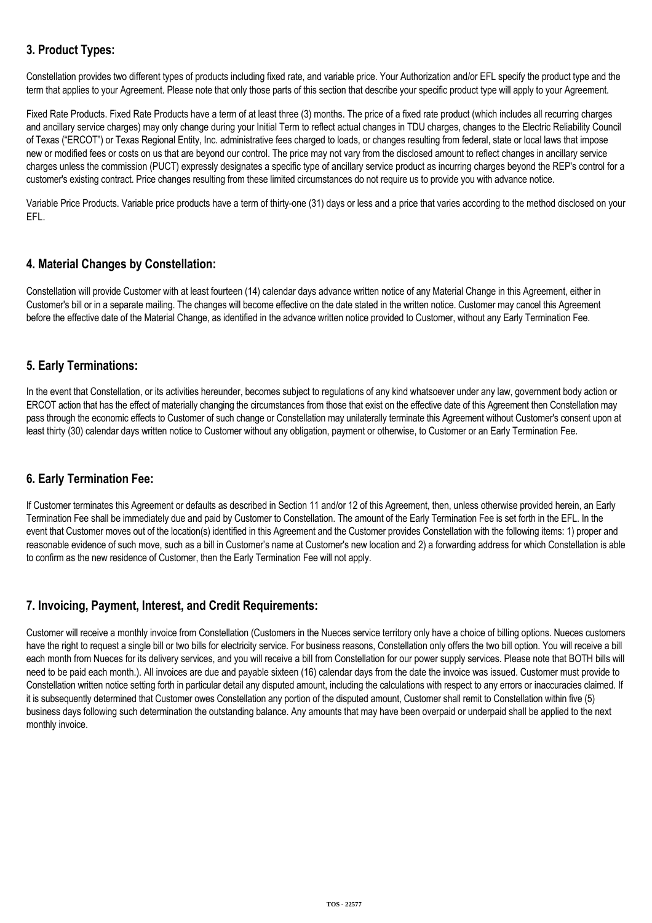# **3. Product Types:**

Constellation provides two different types of products including fixed rate, and variable price. Your Authorization and/or EFL specify the product type and the term that applies to your Agreement. Please note that only those parts of this section that describe your specific product type will apply to your Agreement.

Fixed Rate Products. Fixed Rate Products have a term of at least three (3) months. The price of a fixed rate product (which includes all recurring charges and ancillary service charges) may only change during your Initial Term to reflect actual changes in TDU charges, changes to the Electric Reliability Council of Texas ("ERCOT") or Texas Regional Entity, Inc. administrative fees charged to loads, or changes resulting from federal, state or local laws that impose new or modified fees or costs on us that are beyond our control. The price may not vary from the disclosed amount to reflect changes in ancillary service charges unless the commission (PUCT) expressly designates a specific type of ancillary service product as incurring charges beyond the REP's control for a customer's existing contract. Price changes resulting from these limited circumstances do not require us to provide you with advance notice.

Variable Price Products. Variable price products have a term of thirty-one (31) days or less and a price that varies according to the method disclosed on your EFL.

# **4. Material Changes by Constellation:**

Constellation will provide Customer with at least fourteen (14) calendar days advance written notice of any Material Change in this Agreement, either in Customer's bill or in a separate mailing. The changes will become effective on the date stated in the written notice. Customer may cancel this Agreement before the effective date of the Material Change, as identified in the advance written notice provided to Customer, without any Early Termination Fee.

### **5. Early Terminations:**

In the event that Constellation, or its activities hereunder, becomes subject to regulations of any kind whatsoever under any law, government body action or ERCOT action that has the effect of materially changing the circumstances from those that exist on the effective date of this Agreement then Constellation may pass through the economic effects to Customer of such change or Constellation may unilaterally terminate this Agreement without Customer's consent upon at least thirty (30) calendar days written notice to Customer without any obligation, payment or otherwise, to Customer or an Early Termination Fee.

# **6. Early Termination Fee:**

If Customer terminates this Agreement or defaults as described in Section 11 and/or 12 of this Agreement, then, unless otherwise provided herein, an Early Termination Fee shall be immediately due and paid by Customer to Constellation. The amount of the Early Termination Fee is set forth in the EFL. In the event that Customer moves out of the location(s) identified in this Agreement and the Customer provides Constellation with the following items: 1) proper and reasonable evidence of such move, such as a bill in Customer's name at Customer's new location and 2) a forwarding address for which Constellation is able to confirm as the new residence of Customer, then the Early Termination Fee will not apply.

# **7. Invoicing, Payment, Interest, and Credit Requirements:**

Customer will receive a monthly invoice from Constellation (Customers in the Nueces service territory only have a choice of billing options. Nueces customers have the right to request a single bill or two bills for electricity service. For business reasons, Constellation only offers the two bill option. You will receive a bill each month from Nueces for its delivery services, and you will receive a bill from Constellation for our power supply services. Please note that BOTH bills will need to be paid each month.). All invoices are due and payable sixteen (16) calendar days from the date the invoice was issued. Customer must provide to Constellation written notice setting forth in particular detail any disputed amount, including the calculations with respect to any errors or inaccuracies claimed. If it is subsequently determined that Customer owes Constellation any portion of the disputed amount, Customer shall remit to Constellation within five (5) business days following such determination the outstanding balance. Any amounts that may have been overpaid or underpaid shall be applied to the next monthly invoice.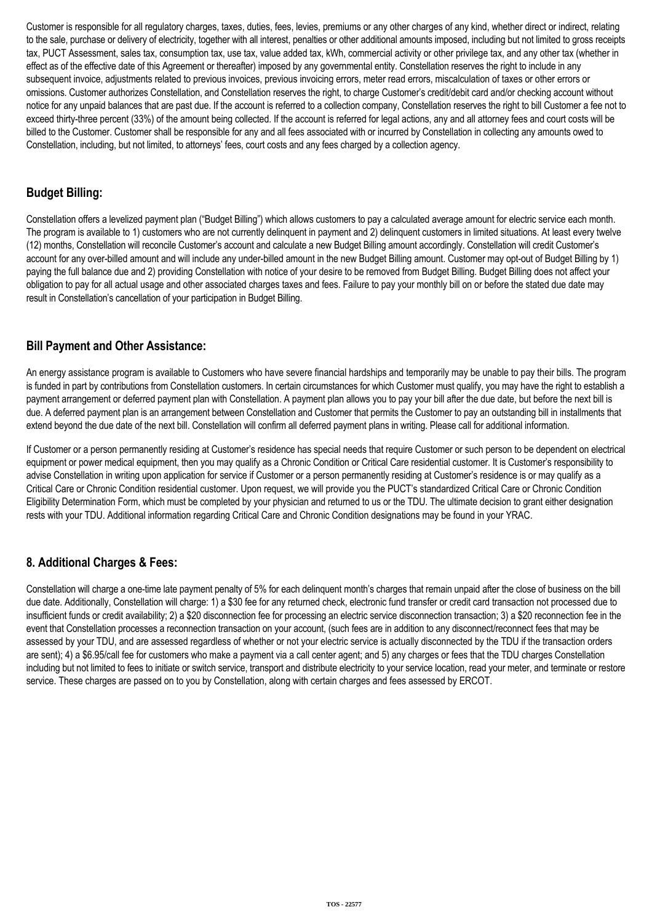Customer is responsible for all regulatory charges, taxes, duties, fees, levies, premiums or any other charges of any kind, whether direct or indirect, relating to the sale, purchase or delivery of electricity, together with all interest, penalties or other additional amounts imposed, including but not limited to gross receipts tax, PUCT Assessment, sales tax, consumption tax, use tax, value added tax, kWh, commercial activity or other privilege tax, and any other tax (whether in effect as of the effective date of this Agreement or thereafter) imposed by any governmental entity. Constellation reserves the right to include in any subsequent invoice, adjustments related to previous invoices, previous invoicing errors, meter read errors, miscalculation of taxes or other errors or omissions. Customer authorizes Constellation, and Constellation reserves the right, to charge Customer's credit/debit card and/or checking account without notice for any unpaid balances that are past due. If the account is referred to a collection company, Constellation reserves the right to bill Customer a fee not to exceed thirty-three percent (33%) of the amount being collected. If the account is referred for legal actions, any and all attorney fees and court costs will be billed to the Customer. Customer shall be responsible for any and all fees associated with or incurred by Constellation in collecting any amounts owed to Constellation, including, but not limited, to attorneys' fees, court costs and any fees charged by a collection agency.

## **Budget Billing:**

Constellation offers a levelized payment plan ("Budget Billing") which allows customers to pay a calculated average amount for electric service each month. The program is available to 1) customers who are not currently delinquent in payment and 2) delinquent customers in limited situations. At least every twelve (12) months, Constellation will reconcile Customer's account and calculate a new Budget Billing amount accordingly. Constellation will credit Customer's account for any over-billed amount and will include any under-billed amount in the new Budget Billing amount. Customer may opt-out of Budget Billing by 1) paying the full balance due and 2) providing Constellation with notice of your desire to be removed from Budget Billing. Budget Billing does not affect your obligation to pay for all actual usage and other associated charges taxes and fees. Failure to pay your monthly bill on or before the stated due date may result in Constellation's cancellation of your participation in Budget Billing.

### **Bill Payment and Other Assistance:**

An energy assistance program is available to Customers who have severe financial hardships and temporarily may be unable to pay their bills. The program is funded in part by contributions from Constellation customers. In certain circumstances for which Customer must qualify, you may have the right to establish a payment arrangement or deferred payment plan with Constellation. A payment plan allows you to pay your bill after the due date, but before the next bill is due. A deferred payment plan is an arrangement between Constellation and Customer that permits the Customer to pay an outstanding bill in installments that extend beyond the due date of the next bill. Constellation will confirm all deferred payment plans in writing. Please call for additional information.

If Customer or a person permanently residing at Customer's residence has special needs that require Customer or such person to be dependent on electrical equipment or power medical equipment, then you may qualify as a Chronic Condition or Critical Care residential customer. It is Customer's responsibility to advise Constellation in writing upon application for service if Customer or a person permanently residing at Customer's residence is or may qualify as a Critical Care or Chronic Condition residential customer. Upon request, we will provide you the PUCT's standardized Critical Care or Chronic Condition Eligibility Determination Form, which must be completed by your physician and returned to us or the TDU. The ultimate decision to grant either designation rests with your TDU. Additional information regarding Critical Care and Chronic Condition designations may be found in your YRAC.

# **8. Additional Charges & Fees:**

Constellation will charge a one-time late payment penalty of 5% for each delinquent month's charges that remain unpaid after the close of business on the bill due date. Additionally, Constellation will charge: 1) a \$30 fee for any returned check, electronic fund transfer or credit card transaction not processed due to insufficient funds or credit availability; 2) a \$20 disconnection fee for processing an electric service disconnection transaction; 3) a \$20 reconnection fee in the event that Constellation processes a reconnection transaction on your account, (such fees are in addition to any disconnect/reconnect fees that may be assessed by your TDU, and are assessed regardless of whether or not your electric service is actually disconnected by the TDU if the transaction orders are sent); 4) a \$6.95/call fee for customers who make a payment via a call center agent; and 5) any charges or fees that the TDU charges Constellation including but not limited to fees to initiate or switch service, transport and distribute electricity to your service location, read your meter, and terminate or restore service. These charges are passed on to you by Constellation, along with certain charges and fees assessed by ERCOT.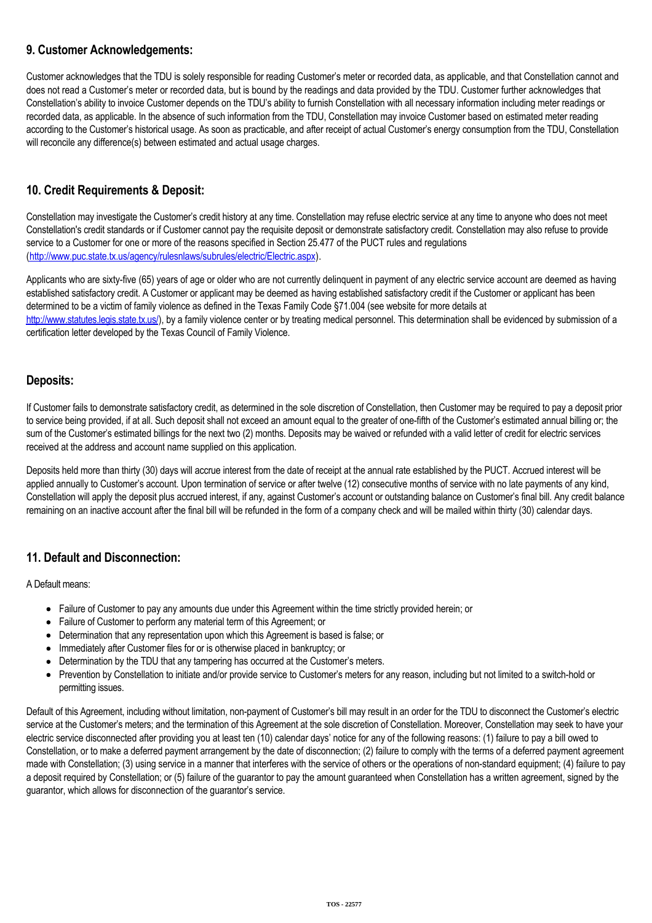### **9. Customer Acknowledgements:**

Customer acknowledges that the TDU is solely responsible for reading Customer's meter or recorded data, as applicable, and that Constellation cannot and does not read a Customer's meter or recorded data, but is bound by the readings and data provided by the TDU. Customer further acknowledges that Constellation's ability to invoice Customer depends on the TDU's ability to furnish Constellation with all necessary information including meter readings or recorded data, as applicable. In the absence of such information from the TDU, Constellation may invoice Customer based on estimated meter reading according to the Customer's historical usage. As soon as practicable, and after receipt of actual Customer's energy consumption from the TDU, Constellation will reconcile any difference(s) between estimated and actual usage charges.

# **10. Credit Requirements & Deposit:**

Constellation may investigate the Customer's credit history at any time. Constellation may refuse electric service at any time to anyone who does not meet Constellation's credit standards or if Customer cannot pay the requisite deposit or demonstrate satisfactory credit. Constellation may also refuse to provide service to a Customer for one or more of the reasons specified in Section 25.477 of the PUCT rules and regulations (<http://www.puc.state.tx.us/agency/rulesnlaws/subrules/electric/Electric.aspx>).

Applicants who are sixty-five (65) years of age or older who are not currently delinquent in payment of any electric service account are deemed as having established satisfactory credit. A Customer or applicant may be deemed as having established satisfactory credit if the Customer or applicant has been determined to be a victim of family violence as defined in the Texas Family Code §71.004 (see website for more details at [http://www.statutes.legis.state.tx.us/\)](http://www.statutes.legis.state.tx.us/), by a family violence center or by treating medical personnel. This determination shall be evidenced by submission of a certification letter developed by the Texas Council of Family Violence.

### **Deposits:**

If Customer fails to demonstrate satisfactory credit, as determined in the sole discretion of Constellation, then Customer may be required to pay a deposit prior to service being provided, if at all. Such deposit shall not exceed an amount equal to the greater of one-fifth of the Customer's estimated annual billing or; the sum of the Customer's estimated billings for the next two (2) months. Deposits may be waived or refunded with a valid letter of credit for electric services received at the address and account name supplied on this application.

Deposits held more than thirty (30) days will accrue interest from the date of receipt at the annual rate established by the PUCT. Accrued interest will be applied annually to Customer's account. Upon termination of service or after twelve (12) consecutive months of service with no late payments of any kind, Constellation will apply the deposit plus accrued interest, if any, against Customer's account or outstanding balance on Customer's final bill. Any credit balance remaining on an inactive account after the final bill will be refunded in the form of a company check and will be mailed within thirty (30) calendar days.

# **11. Default and Disconnection:**

A Default means:

- Failure of Customer to pay any amounts due under this Agreement within the time strictly provided herein; or
- Failure of Customer to perform any material term of this Agreement; or
- Determination that any representation upon which this Agreement is based is false; or
- Immediately after Customer files for or is otherwise placed in bankruptcy; or
- Determination by the TDU that any tampering has occurred at the Customer's meters.
- Prevention by Constellation to initiate and/or provide service to Customer's meters for any reason, including but not limited to a switch-hold or permitting issues.

Default of this Agreement, including without limitation, non-payment of Customer's bill may result in an order for the TDU to disconnect the Customer's electric service at the Customer's meters; and the termination of this Agreement at the sole discretion of Constellation. Moreover, Constellation may seek to have your electric service disconnected after providing you at least ten (10) calendar days' notice for any of the following reasons: (1) failure to pay a bill owed to Constellation, or to make a deferred payment arrangement by the date of disconnection; (2) failure to comply with the terms of a deferred payment agreement made with Constellation; (3) using service in a manner that interferes with the service of others or the operations of non-standard equipment; (4) failure to pay a deposit required by Constellation; or (5) failure of the guarantor to pay the amount guaranteed when Constellation has a written agreement, signed by the guarantor, which allows for disconnection of the guarantor's service.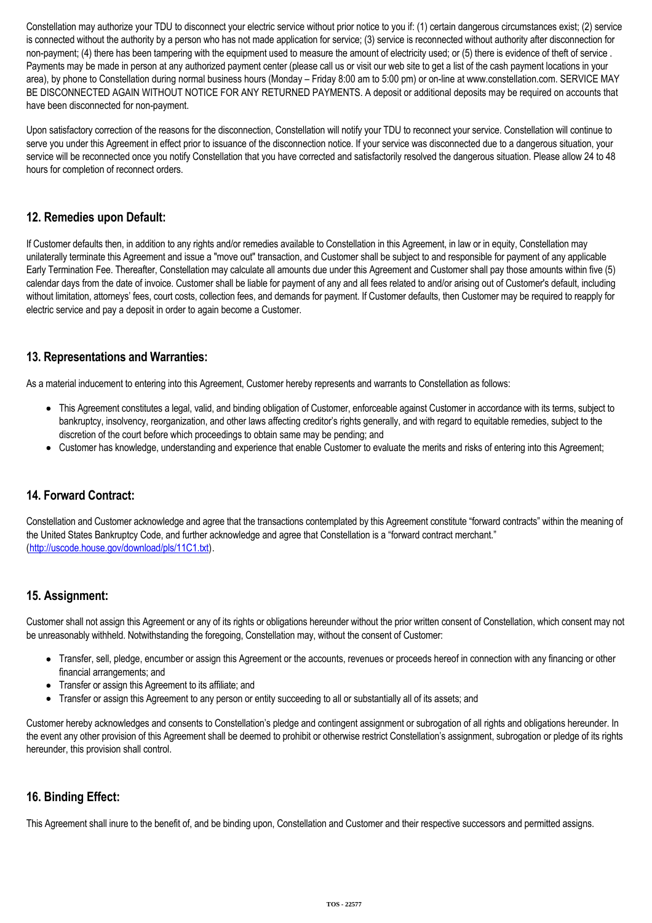Constellation may authorize your TDU to disconnect your electric service without prior notice to you if: (1) certain dangerous circumstances exist; (2) service is connected without the authority by a person who has not made application for service; (3) service is reconnected without authority after disconnection for non-payment; (4) there has been tampering with the equipment used to measure the amount of electricity used; or (5) there is evidence of theft of service. Payments may be made in person at any authorized payment center (please call us or visit our web site to get a list of the cash payment locations in your area), by phone to Constellation during normal business hours (Monday – Friday 8:00 am to 5:00 pm) or on-line at www.constellation.com. SERVICE MAY BE DISCONNECTED AGAIN WITHOUT NOTICE FOR ANY RETURNED PAYMENTS. A deposit or additional deposits may be required on accounts that have been disconnected for non-payment.

Upon satisfactory correction of the reasons for the disconnection, Constellation will notify your TDU to reconnect your service. Constellation will continue to serve you under this Agreement in effect prior to issuance of the disconnection notice. If your service was disconnected due to a dangerous situation, your service will be reconnected once you notify Constellation that you have corrected and satisfactorily resolved the dangerous situation. Please allow 24 to 48 hours for completion of reconnect orders.

## **12. Remedies upon Default:**

If Customer defaults then, in addition to any rights and/or remedies available to Constellation in this Agreement, in law or in equity, Constellation may unilaterally terminate this Agreement and issue a "move out" transaction, and Customer shall be subject to and responsible for payment of any applicable Early Termination Fee. Thereafter, Constellation may calculate all amounts due under this Agreement and Customer shall pay those amounts within five (5) calendar days from the date of invoice. Customer shall be liable for payment of any and all fees related to and/or arising out of Customer's default, including without limitation, attorneys' fees, court costs, collection fees, and demands for payment. If Customer defaults, then Customer may be required to reapply for electric service and pay a deposit in order to again become a Customer.

### **13. Representations and Warranties:**

As a material inducement to entering into this Agreement, Customer hereby represents and warrants to Constellation as follows:

- This Agreement constitutes a legal, valid, and binding obligation of Customer, enforceable against Customer in accordance with its terms, subject to bankruptcy, insolvency, reorganization, and other laws affecting creditor's rights generally, and with regard to equitable remedies, subject to the discretion of the court before which proceedings to obtain same may be pending; and
- Customer has knowledge, understanding and experience that enable Customer to evaluate the merits and risks of entering into this Agreement;

# **14. Forward Contract:**

Constellation and Customer acknowledge and agree that the transactions contemplated by this Agreement constitute "forward contracts" within the meaning of the United States Bankruptcy Code, and further acknowledge and agree that Constellation is a "forward contract merchant." (<http://uscode.house.gov/download/pls/11C1.txt>).

### **15. Assignment:**

Customer shall not assign this Agreement or any of its rights or obligations hereunder without the prior written consent of Constellation, which consent may not be unreasonably withheld. Notwithstanding the foregoing, Constellation may, without the consent of Customer:

- Transfer, sell, pledge, encumber or assign this Agreement or the accounts, revenues or proceeds hereof in connection with any financing or other financial arrangements; and
- Transfer or assign this Agreement to its affiliate; and
- Transfer or assign this Agreement to any person or entity succeeding to all or substantially all of its assets; and

Customer hereby acknowledges and consents to Constellation's pledge and contingent assignment or subrogation of all rights and obligations hereunder. In the event any other provision of this Agreement shall be deemed to prohibit or otherwise restrict Constellation's assignment, subrogation or pledge of its rights hereunder, this provision shall control.

### **16. Binding Effect:**

This Agreement shall inure to the benefit of, and be binding upon, Constellation and Customer and their respective successors and permitted assigns.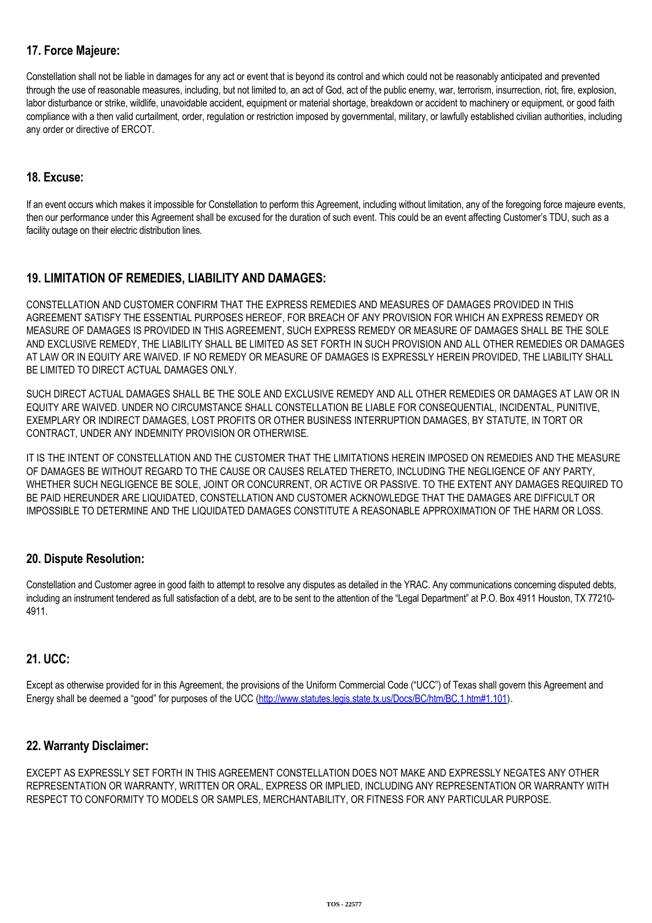# **17. Force Majeure:**

Constellation shall not be liable in damages for any act or event that is beyond its control and which could not be reasonably anticipated and prevented through the use of reasonable measures, including, but not limited to, an act of God, act of the public enemy, war, terrorism, insurrection, riot, fire, explosion, labor disturbance or strike, wildlife, unavoidable accident, equipment or material shortage, breakdown or accident to machinery or equipment, or good faith compliance with a then valid curtailment, order, regulation or restriction imposed by governmental, military, or lawfully established civilian authorities, including any order or directive of ERCOT.

### **18. Excuse:**

If an event occurs which makes it impossible for Constellation to perform this Agreement, including without limitation, any of the foregoing force majeure events, then our performance under this Agreement shall be excused for the duration of such event. This could be an event affecting Customer's TDU, such as a facility outage on their electric distribution lines.

# **19. LIMITATION OF REMEDIES, LIABILITY AND DAMAGES:**

CONSTELLATION AND CUSTOMER CONFIRM THAT THE EXPRESS REMEDIES AND MEASURES OF DAMAGES PROVIDED IN THIS AGREEMENT SATISFY THE ESSENTIAL PURPOSES HEREOF, FOR BREACH OF ANY PROVISION FOR WHICH AN EXPRESS REMEDY OR MEASURE OF DAMAGES IS PROVIDED IN THIS AGREEMENT, SUCH EXPRESS REMEDY OR MEASURE OF DAMAGES SHALL BE THE SOLE AND EXCLUSIVE REMEDY, THE LIABILITY SHALL BE LIMITED AS SET FORTH IN SUCH PROVISION AND ALL OTHER REMEDIES OR DAMAGES AT LAW OR IN EQUITY ARE WAIVED. IF NO REMEDY OR MEASURE OF DAMAGES IS EXPRESSLY HEREIN PROVIDED, THE LIABILITY SHALL BE LIMITED TO DIRECT ACTUAL DAMAGES ONLY.

SUCH DIRECT ACTUAL DAMAGES SHALL BE THE SOLE AND EXCLUSIVE REMEDY AND ALL OTHER REMEDIES OR DAMAGES AT LAW OR IN EQUITY ARE WAIVED. UNDER NO CIRCUMSTANCE SHALL CONSTELLATION BE LIABLE FOR CONSEQUENTIAL, INCIDENTAL, PUNITIVE, EXEMPLARY OR INDIRECT DAMAGES, LOST PROFITS OR OTHER BUSINESS INTERRUPTION DAMAGES, BY STATUTE, IN TORT OR CONTRACT, UNDER ANY INDEMNITY PROVISION OR OTHERWISE.

IT IS THE INTENT OF CONSTELLATION AND THE CUSTOMER THAT THE LIMITATIONS HEREIN IMPOSED ON REMEDIES AND THE MEASURE OF DAMAGES BE WITHOUT REGARD TO THE CAUSE OR CAUSES RELATED THERETO, INCLUDING THE NEGLIGENCE OF ANY PARTY, WHETHER SUCH NEGLIGENCE BE SOLE, JOINT OR CONCURRENT, OR ACTIVE OR PASSIVE. TO THE EXTENT ANY DAMAGES REQUIRED TO BE PAID HEREUNDER ARE LIQUIDATED, CONSTELLATION AND CUSTOMER ACKNOWLEDGE THAT THE DAMAGES ARE DIFFICULT OR IMPOSSIBLE TO DETERMINE AND THE LIQUIDATED DAMAGES CONSTITUTE A REASONABLE APPROXIMATION OF THE HARM OR LOSS.

### **20. Dispute Resolution:**

Constellation and Customer agree in good faith to attempt to resolve any disputes as detailed in the YRAC. Any communications concerning disputed debts, including an instrument tendered as full satisfaction of a debt, are to be sent to the attention of the "Legal Department" at P.O. Box 4911 Houston, TX 77210-4911.

### **21. UCC:**

Except as otherwise provided for in this Agreement, the provisions of the Uniform Commercial Code ("UCC") of Texas shall govern this Agreement and Energy shall be deemed a "good" for purposes of the UCC [\(http://www.statutes.legis.state.tx.us/Docs/BC/htm/BC.1.htm#1.101\)](http://www.statutes.legis.state.tx.us/Docs/BC/htm/BC.1.htm#1.101).

### **22. Warranty Disclaimer:**

EXCEPT AS EXPRESSLY SET FORTH IN THIS AGREEMENT CONSTELLATION DOES NOT MAKE AND EXPRESSLY NEGATES ANY OTHER REPRESENTATION OR WARRANTY, WRITTEN OR ORAL, EXPRESS OR IMPLIED, INCLUDING ANY REPRESENTATION OR WARRANTY WITH RESPECT TO CONFORMITY TO MODELS OR SAMPLES, MERCHANTABILITY, OR FITNESS FOR ANY PARTICULAR PURPOSE.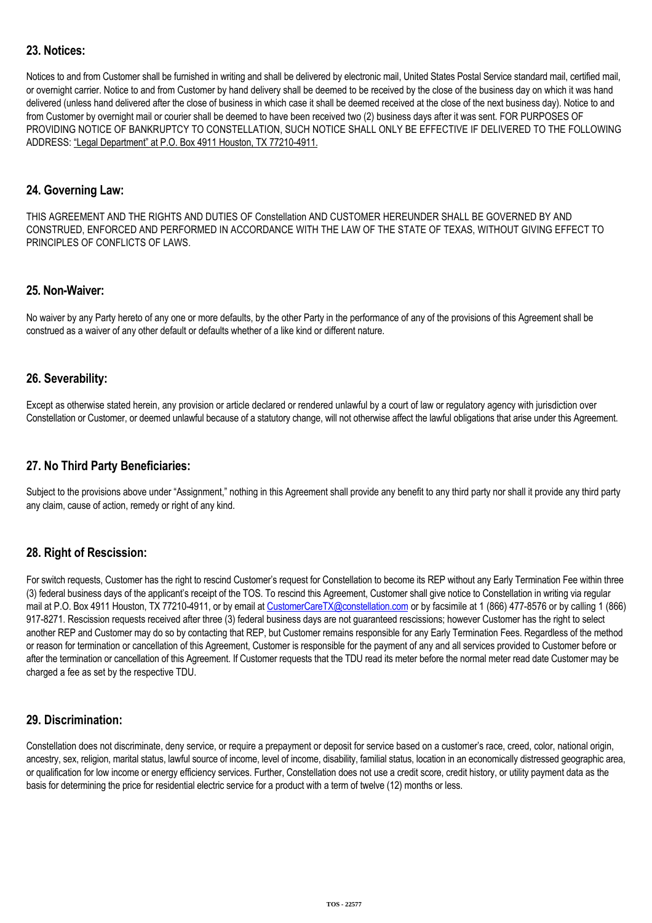## **23. Notices:**

Notices to and from Customer shall be furnished in writing and shall be delivered by electronic mail, United States Postal Service standard mail, certified mail, or overnight carrier. Notice to and from Customer by hand delivery shall be deemed to be received by the close of the business day on which it was hand delivered (unless hand delivered after the close of business in which case it shall be deemed received at the close of the next business day). Notice to and from Customer by overnight mail or courier shall be deemed to have been received two (2) business days after it was sent. FOR PURPOSES OF PROVIDING NOTICE OF BANKRUPTCY TO CONSTELLATION, SUCH NOTICE SHALL ONLY BE EFFECTIVE IF DELIVERED TO THE FOLLOWING ADDRESS: "Legal Department" at P.O. Box 4911 Houston, TX 77210-4911.

#### **24. Governing Law:**

THIS AGREEMENT AND THE RIGHTS AND DUTIES OF Constellation AND CUSTOMER HEREUNDER SHALL BE GOVERNED BY AND CONSTRUED, ENFORCED AND PERFORMED IN ACCORDANCE WITH THE LAW OF THE STATE OF TEXAS, WITHOUT GIVING EFFECT TO PRINCIPLES OF CONFLICTS OF LAWS.

#### **25. Non-Waiver:**

No waiver by any Party hereto of any one or more defaults, by the other Party in the performance of any of the provisions of this Agreement shall be construed as a waiver of any other default or defaults whether of a like kind or different nature.

#### **26. Severability:**

Except as otherwise stated herein, any provision or article declared or rendered unlawful by a court of law or regulatory agency with jurisdiction over Constellation or Customer, or deemed unlawful because of a statutory change, will not otherwise affect the lawful obligations that arise under this Agreement.

### **27. No Third Party Beneficiaries:**

Subject to the provisions above under "Assignment," nothing in this Agreement shall provide any benefit to any third party nor shall it provide any third party any claim, cause of action, remedy or right of any kind.

### **28. Right of Rescission:**

For switch requests, Customer has the right to rescind Customer's request for Constellation to become its REP without any Early Termination Fee within three (3) federal business days of the applicant's receipt of the TOS. To rescind this Agreement, Customer shall give notice to Constellation in writing via regular mail at P.O. Box 4911 Houston, TX 77210-4911, or by email at [CustomerCareTX@constellation.com](mailto:CustomerCareTX@constellation.com) or by facsimile at 1 (866) 477-8576 or by calling 1 (866) 917-8271. Rescission requests received after three (3) federal business days are not guaranteed rescissions; however Customer has the right to select another REP and Customer may do so by contacting that REP, but Customer remains responsible for any Early Termination Fees. Regardless of the method or reason for termination or cancellation of this Agreement, Customer is responsible for the payment of any and all services provided to Customer before or after the termination or cancellation of this Agreement. If Customer requests that the TDU read its meter before the normal meter read date Customer may be charged a fee as set by the respective TDU.

### **29. Discrimination:**

Constellation does not discriminate, deny service, or require a prepayment or deposit for service based on a customer's race, creed, color, national origin, ancestry, sex, religion, marital status, lawful source of income, level of income, disability, familial status, location in an economically distressed geographic area, or qualification for low income or energy efficiency services. Further, Constellation does not use a credit score, credit history, or utility payment data as the basis for determining the price for residential electric service for a product with a term of twelve (12) months or less.